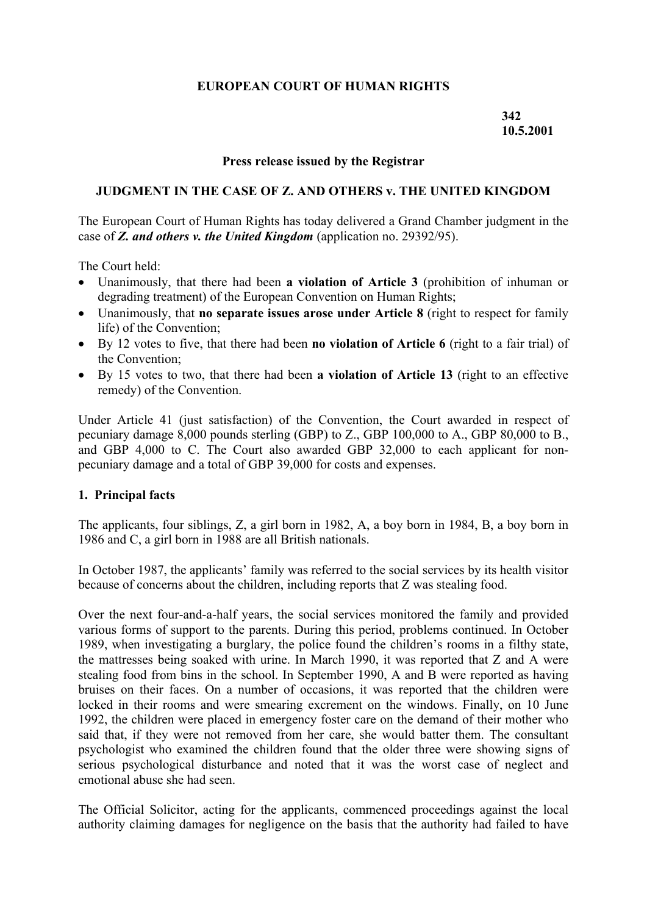# **EUROPEAN COURT OF HUMAN RIGHTS**

### **342 10.5.2001**

#### **Press release issued by the Registrar**

#### **JUDGMENT IN THE CASE OF Z. AND OTHERS v. THE UNITED KINGDOM**

The European Court of Human Rights has today delivered a Grand Chamber judgment in the case of *Z. and others v. the United Kingdom* (application no. 29392/95).

The Court held:

- Unanimously, that there had been **a violation of Article 3** (prohibition of inhuman or degrading treatment) of the European Convention on Human Rights;
- Unanimously, that **no separate issues arose under Article 8** (right to respect for family life) of the Convention;
- By 12 votes to five, that there had been **no violation of Article 6** (right to a fair trial) of the Convention;
- By 15 votes to two, that there had been **a violation of Article 13** (right to an effective remedy) of the Convention.

Under Article 41 (just satisfaction) of the Convention, the Court awarded in respect of pecuniary damage 8,000 pounds sterling (GBP) to Z., GBP 100,000 to A., GBP 80,000 to B., and GBP 4,000 to C. The Court also awarded GBP 32,000 to each applicant for nonpecuniary damage and a total of GBP 39,000 for costs and expenses.

### **1. Principal facts**

The applicants, four siblings, Z, a girl born in 1982, A, a boy born in 1984, B, a boy born in 1986 and C, a girl born in 1988 are all British nationals.

In October 1987, the applicants' family was referred to the social services by its health visitor because of concerns about the children, including reports that Z was stealing food.

Over the next four-and-a-half years, the social services monitored the family and provided various forms of support to the parents. During this period, problems continued. In October 1989, when investigating a burglary, the police found the children's rooms in a filthy state, the mattresses being soaked with urine. In March 1990, it was reported that Z and A were stealing food from bins in the school. In September 1990, A and B were reported as having bruises on their faces. On a number of occasions, it was reported that the children were locked in their rooms and were smearing excrement on the windows. Finally, on 10 June 1992, the children were placed in emergency foster care on the demand of their mother who said that, if they were not removed from her care, she would batter them. The consultant psychologist who examined the children found that the older three were showing signs of serious psychological disturbance and noted that it was the worst case of neglect and emotional abuse she had seen.

The Official Solicitor, acting for the applicants, commenced proceedings against the local authority claiming damages for negligence on the basis that the authority had failed to have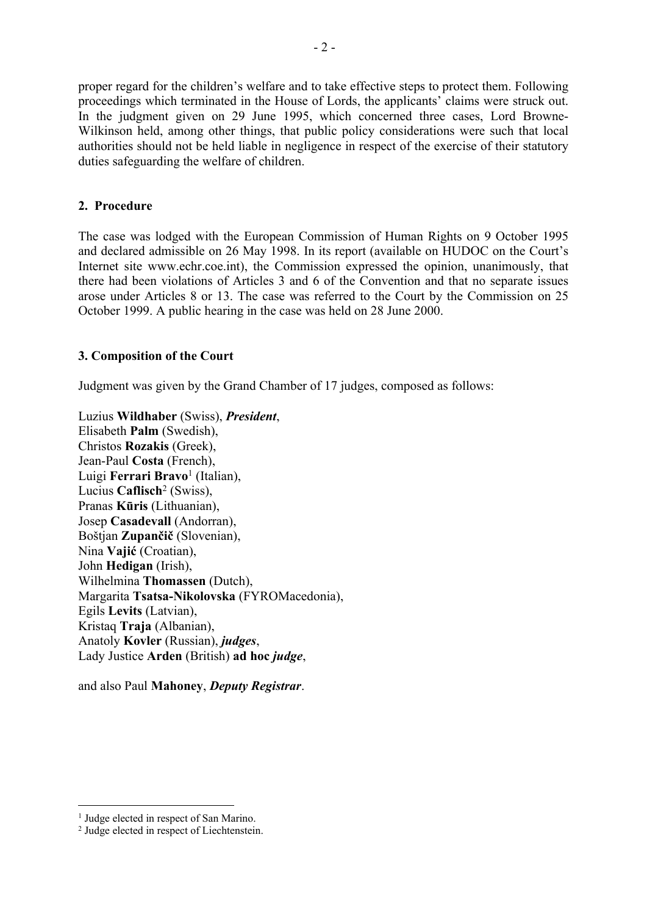proper regard for the children's welfare and to take effective steps to protect them. Following proceedings which terminated in the House of Lords, the applicants' claims were struck out. In the judgment given on 29 June 1995, which concerned three cases, Lord Browne-Wilkinson held, among other things, that public policy considerations were such that local authorities should not be held liable in negligence in respect of the exercise of their statutory duties safeguarding the welfare of children.

#### **2. Procedure**

The case was lodged with the European Commission of Human Rights on 9 October 1995 and declared admissible on 26 May 1998. In its report (available on HUDOC on the Court's Internet site www.echr.coe.int), the Commission expressed the opinion, unanimously, that there had been violations of Articles 3 and 6 of the Convention and that no separate issues arose under Articles 8 or 13. The case was referred to the Court by the Commission on 25 October 1999. A public hearing in the case was held on 28 June 2000.

#### **3. Composition of the Court**

Judgment was given by the Grand Chamber of 17 judges, composed as follows:

Luzius **Wildhaber** (Swiss), *President*, Elisabeth **Palm** (Swedish), Christos **Rozakis** (Greek), Jean-Paul **Costa** (French), Luigi **Ferrari Bravo**<sup>1</sup> (Italian), Lucius **Caflisch**<sup>2</sup> (Swiss), Pranas **Kūris** (Lithuanian), Josep **Casadevall** (Andorran), Boštjan **Zupančič** (Slovenian), Nina **Vajić** (Croatian), John **Hedigan** (Irish), Wilhelmina **Thomassen** (Dutch), Margarita **Tsatsa-Nikolovska** (FYROMacedonia), Egils **Levits** (Latvian), Kristaq **Traja** (Albanian), Anatoly **Kovler** (Russian), *judges*, Lady Justice **Arden** (British) **ad hoc** *judge*,

and also Paul **Mahoney**, *Deputy Registrar*.

<sup>&</sup>lt;sup>1</sup> Judge elected in respect of San Marino.

<sup>2</sup> Judge elected in respect of Liechtenstein.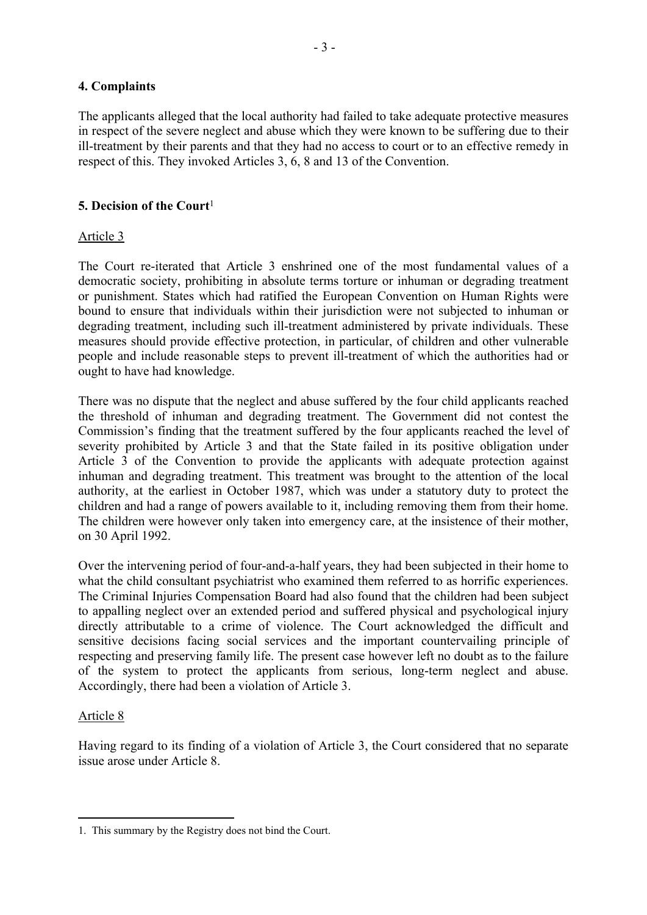# **4. Complaints**

The applicants alleged that the local authority had failed to take adequate protective measures in respect of the severe neglect and abuse which they were known to be suffering due to their ill-treatment by their parents and that they had no access to court or to an effective remedy in respect of this. They invoked Articles 3, 6, 8 and 13 of the Convention.

# **5. Decision of the Court**<sup>1</sup>

# Article 3

The Court re-iterated that Article 3 enshrined one of the most fundamental values of a democratic society, prohibiting in absolute terms torture or inhuman or degrading treatment or punishment. States which had ratified the European Convention on Human Rights were bound to ensure that individuals within their jurisdiction were not subjected to inhuman or degrading treatment, including such ill-treatment administered by private individuals. These measures should provide effective protection, in particular, of children and other vulnerable people and include reasonable steps to prevent ill-treatment of which the authorities had or ought to have had knowledge.

There was no dispute that the neglect and abuse suffered by the four child applicants reached the threshold of inhuman and degrading treatment. The Government did not contest the Commission's finding that the treatment suffered by the four applicants reached the level of severity prohibited by Article 3 and that the State failed in its positive obligation under Article 3 of the Convention to provide the applicants with adequate protection against inhuman and degrading treatment. This treatment was brought to the attention of the local authority, at the earliest in October 1987, which was under a statutory duty to protect the children and had a range of powers available to it, including removing them from their home. The children were however only taken into emergency care, at the insistence of their mother, on 30 April 1992.

Over the intervening period of four-and-a-half years, they had been subjected in their home to what the child consultant psychiatrist who examined them referred to as horrific experiences. The Criminal Injuries Compensation Board had also found that the children had been subject to appalling neglect over an extended period and suffered physical and psychological injury directly attributable to a crime of violence. The Court acknowledged the difficult and sensitive decisions facing social services and the important countervailing principle of respecting and preserving family life. The present case however left no doubt as to the failure of the system to protect the applicants from serious, long-term neglect and abuse. Accordingly, there had been a violation of Article 3.

#### Article 8

Having regard to its finding of a violation of Article 3, the Court considered that no separate issue arose under Article 8.

<sup>1.</sup> This summary by the Registry does not bind the Court.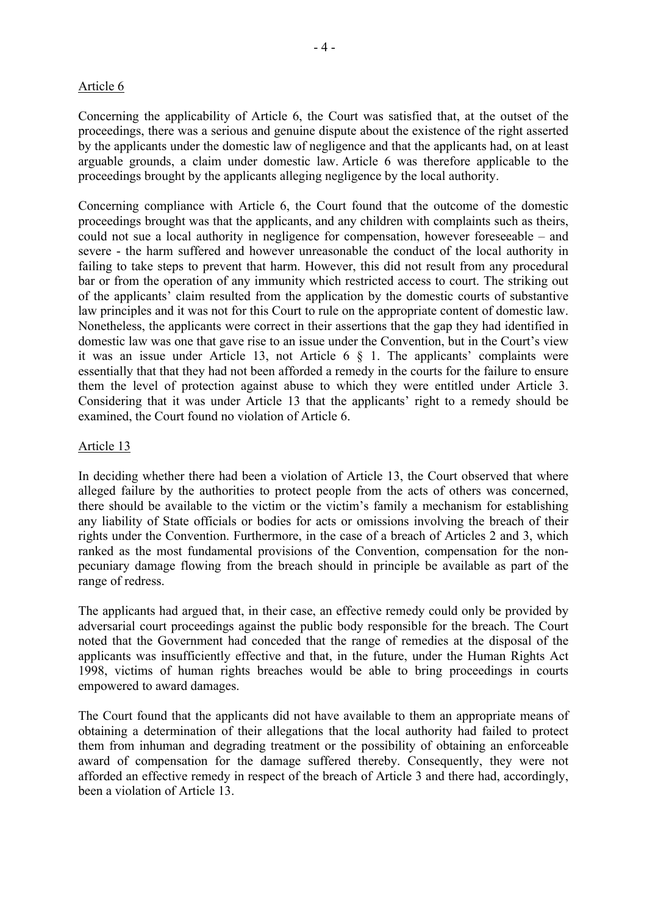## Article 6

Concerning the applicability of Article 6, the Court was satisfied that, at the outset of the proceedings, there was a serious and genuine dispute about the existence of the right asserted by the applicants under the domestic law of negligence and that the applicants had, on at least arguable grounds, a claim under domestic law. Article 6 was therefore applicable to the proceedings brought by the applicants alleging negligence by the local authority.

Concerning compliance with Article 6, the Court found that the outcome of the domestic proceedings brought was that the applicants, and any children with complaints such as theirs, could not sue a local authority in negligence for compensation, however foreseeable – and severe - the harm suffered and however unreasonable the conduct of the local authority in failing to take steps to prevent that harm. However, this did not result from any procedural bar or from the operation of any immunity which restricted access to court. The striking out of the applicants' claim resulted from the application by the domestic courts of substantive law principles and it was not for this Court to rule on the appropriate content of domestic law. Nonetheless, the applicants were correct in their assertions that the gap they had identified in domestic law was one that gave rise to an issue under the Convention, but in the Court's view it was an issue under Article 13, not Article 6 § 1. The applicants' complaints were essentially that that they had not been afforded a remedy in the courts for the failure to ensure them the level of protection against abuse to which they were entitled under Article 3. Considering that it was under Article 13 that the applicants' right to a remedy should be examined, the Court found no violation of Article 6.

### Article 13

In deciding whether there had been a violation of Article 13, the Court observed that where alleged failure by the authorities to protect people from the acts of others was concerned, there should be available to the victim or the victim's family a mechanism for establishing any liability of State officials or bodies for acts or omissions involving the breach of their rights under the Convention. Furthermore, in the case of a breach of Articles 2 and 3, which ranked as the most fundamental provisions of the Convention, compensation for the nonpecuniary damage flowing from the breach should in principle be available as part of the range of redress.

The applicants had argued that, in their case, an effective remedy could only be provided by adversarial court proceedings against the public body responsible for the breach. The Court noted that the Government had conceded that the range of remedies at the disposal of the applicants was insufficiently effective and that, in the future, under the Human Rights Act 1998, victims of human rights breaches would be able to bring proceedings in courts empowered to award damages.

The Court found that the applicants did not have available to them an appropriate means of obtaining a determination of their allegations that the local authority had failed to protect them from inhuman and degrading treatment or the possibility of obtaining an enforceable award of compensation for the damage suffered thereby. Consequently, they were not afforded an effective remedy in respect of the breach of Article 3 and there had, accordingly, been a violation of Article 13.